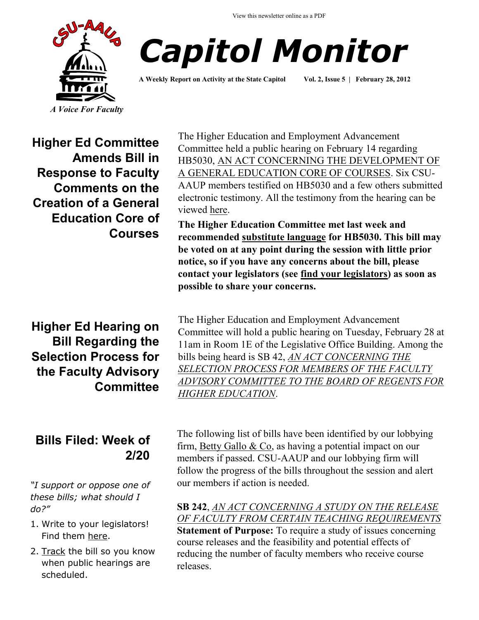View this newsletter online as a PDF





**A Weekly Report on Activity at the State Capitol Vol. 2, Issue 5 | February 28, 2012**

**Higher Ed Committee Amends Bill in Response to Faculty Comments on the Creation of a General Education Core of Courses**

**Higher Ed Hearing on Bill Regarding the Selection Process for the Faculty Advisory Committee**

# **Bills Filed: Week of 2/20**

*"I support or oppose one of these bills; what should I do?"*

- 1. Write to your legislators! Find them [here.](http://www.congressweb.com/cweb4/index.cfm?orgcode=BGAUP)
- 2. [Track](http://www.cga.ct.gov/aspx/CGAPublicBillTrack/Register.aspx) the bill so you know when public hearings are scheduled.

The Higher Education and Employment Advancement Committee held a public hearing on February 14 regarding HB5030, [AN ACT CONCERNING THE DEVELOPMENT OF](http://www.cga.ct.gov/2012/TOB/H/2012HB-05030-R00-HB.htm)  [A GENERAL EDUCATION CORE OF COURSES.](http://www.cga.ct.gov/2012/TOB/H/2012HB-05030-R00-HB.htm) Six CSU-AAUP members testified on HB5030 and a few others submitted electronic testimony. All the testimony from the hearing can be viewed [here.](http://www.cga.ct.gov/asp/menu/CommDocTmyBill.asp?comm_code=HED&bill=HB-05030&doc_year=2012)

**The Higher Education Committee met last week and recommended [substitute language](http://www.csuaaup.org/wp-content/uploads/2012/02/HB5030Amended.pdf) for HB5030. This bill may be voted on at any point during the session with little prior notice, so if you have any concerns about the bill, please contact your legislators (see [find your legislators\)](http://www.congressweb.com/cweb4/index.cfm?orgcode=BGAUP) as soon as possible to share your concerns.** 

The Higher Education and Employment Advancement Committee will hold a public hearing on Tuesday, February 28 at 11am in Room 1E of the Legislative Office Building. Among the bills being heard is SB 42, *[AN ACT CONCERNING THE](http://www.cga.ct.gov/2012/TOB/S/2012SB-00042-R00-SB.htm)  [SELECTION PROCESS FOR MEMBERS OF THE FACULTY](http://www.cga.ct.gov/2012/TOB/S/2012SB-00042-R00-SB.htm)  [ADVISORY COMMITTEE TO THE BOARD OF REGENTS FOR](http://www.cga.ct.gov/2012/TOB/S/2012SB-00042-R00-SB.htm)  [HIGHER EDUCATION](http://www.cga.ct.gov/2012/TOB/S/2012SB-00042-R00-SB.htm)*.

The following list of bills have been identified by our lobbying firm, [Betty Gallo & Co,](http://www.bettygallo.com/) as having a potential impact on our members if passed. CSU-AAUP and our lobbying firm will follow the progress of the bills throughout the session and alert our members if action is needed.

**SB 242**, *[AN ACT CONCERNING A STUDY ON THE RELEASE](http://www.cga.ct.gov/asp/cgabillstatus/cgabillstatus.asp?selBillType=Bill&bill_num=242&which_year=2012&SUBMIT1.x=0&SUBMIT1.y=0)  [OF FACULTY FROM CERTAIN TEACHING REQUIREMENTS](http://www.cga.ct.gov/asp/cgabillstatus/cgabillstatus.asp?selBillType=Bill&bill_num=242&which_year=2012&SUBMIT1.x=0&SUBMIT1.y=0)* **Statement of Purpose:** To require a study of issues concerning course releases and the feasibility and potential effects of reducing the number of faculty members who receive course releases.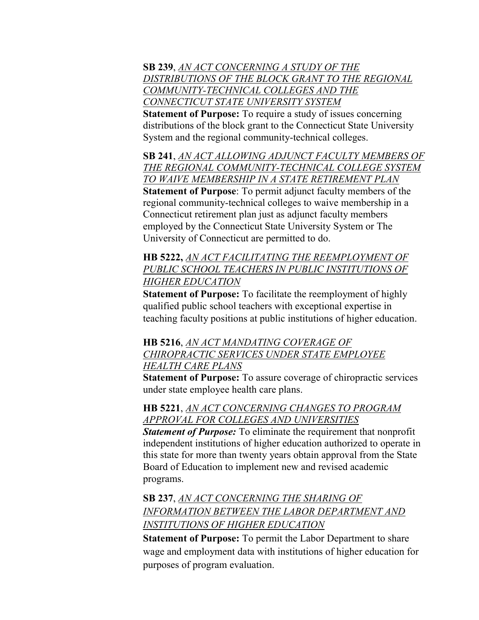#### **SB 239**, *[AN ACT CONCERNING A STUDY OF THE](http://www.cga.ct.gov/asp/cgabillstatus/cgabillstatus.asp?selBillType=Bill&bill_num=239&which_year=2012&SUBMIT1.x=0&SUBMIT1.y=0)  [DISTRIBUTIONS OF THE BLOCK GRANT TO THE REGIONAL](http://www.cga.ct.gov/asp/cgabillstatus/cgabillstatus.asp?selBillType=Bill&bill_num=239&which_year=2012&SUBMIT1.x=0&SUBMIT1.y=0)  [COMMUNITY-TECHNICAL COLLEGES AND THE](http://www.cga.ct.gov/asp/cgabillstatus/cgabillstatus.asp?selBillType=Bill&bill_num=239&which_year=2012&SUBMIT1.x=0&SUBMIT1.y=0)  [CONNECTICUT STATE UNIVERSITY SYSTEM](http://www.cga.ct.gov/asp/cgabillstatus/cgabillstatus.asp?selBillType=Bill&bill_num=239&which_year=2012&SUBMIT1.x=0&SUBMIT1.y=0)*

**Statement of Purpose:** To require a study of issues concerning distributions of the block grant to the Connecticut State University System and the regional community-technical colleges.

**SB 241**, *[AN ACT ALLOWING ADJUNCT FACULTY MEMBERS OF](http://www.cga.ct.gov/asp/cgabillstatus/cgabillstatus.asp?selBillType=Bill&bill_num=241&which_year=2012&SUBMIT1.x=0&SUBMIT1.y=0)  [THE REGIONAL COMMUNITY-TECHNICAL COLLEGE SYSTEM](http://www.cga.ct.gov/asp/cgabillstatus/cgabillstatus.asp?selBillType=Bill&bill_num=241&which_year=2012&SUBMIT1.x=0&SUBMIT1.y=0)  [TO WAIVE MEMBERSHIP IN A STATE RETIREMENT PLAN](http://www.cga.ct.gov/asp/cgabillstatus/cgabillstatus.asp?selBillType=Bill&bill_num=241&which_year=2012&SUBMIT1.x=0&SUBMIT1.y=0)*

**Statement of Purpose**: To permit adjunct faculty members of the regional community-technical colleges to waive membership in a Connecticut retirement plan just as adjunct faculty members employed by the Connecticut State University System or The University of Connecticut are permitted to do.

**HB 5222,** *[AN ACT FACILITATING THE REEMPLOYMENT OF](http://cga.ct.gov/asp/cgabillstatus/cgabillstatus.asp?selBillType=Bill&bill_num=5222&which_year=2012&SUBMIT1.x=0&SUBMIT1.y=0&SUBMIT1=Normal)  [PUBLIC SCHOOL TEACHERS IN PUBLIC INSTITUTIONS OF](http://cga.ct.gov/asp/cgabillstatus/cgabillstatus.asp?selBillType=Bill&bill_num=5222&which_year=2012&SUBMIT1.x=0&SUBMIT1.y=0&SUBMIT1=Normal)  [HIGHER EDUCATION](http://cga.ct.gov/asp/cgabillstatus/cgabillstatus.asp?selBillType=Bill&bill_num=5222&which_year=2012&SUBMIT1.x=0&SUBMIT1.y=0&SUBMIT1=Normal)*

**Statement of Purpose:** To facilitate the reemployment of highly qualified public school teachers with exceptional expertise in teaching faculty positions at public institutions of higher education.

### **HB 5216**, *[AN ACT MANDATING COVERAGE OF](http://cga.ct.gov/asp/cgabillstatus/cgabillstatus.asp?selBillType=Bill&bill_num=5216&which_year=2012&SUBMIT1.x=0&SUBMIT1.y=0&SUBMIT1=Normal)  [CHIROPRACTIC SERVICES UNDER STATE EMPLOYEE](http://cga.ct.gov/asp/cgabillstatus/cgabillstatus.asp?selBillType=Bill&bill_num=5216&which_year=2012&SUBMIT1.x=0&SUBMIT1.y=0&SUBMIT1=Normal)  [HEALTH CARE PLANS](http://cga.ct.gov/asp/cgabillstatus/cgabillstatus.asp?selBillType=Bill&bill_num=5216&which_year=2012&SUBMIT1.x=0&SUBMIT1.y=0&SUBMIT1=Normal)*

**Statement of Purpose:** To assure coverage of chiropractic services under state employee health care plans.

**HB 5221**, *[AN ACT CONCERNING CHANGES TO PROGRAM](http://cga.ct.gov/asp/cgabillstatus/cgabillstatus.asp?selBillType=Bill&bill_num=5221&which_year=2012&SUBMIT1.x=0&SUBMIT1.y=0&SUBMIT1=Normal)  [APPROVAL FOR COLLEGES AND UNIVERSITIES](http://cga.ct.gov/asp/cgabillstatus/cgabillstatus.asp?selBillType=Bill&bill_num=5221&which_year=2012&SUBMIT1.x=0&SUBMIT1.y=0&SUBMIT1=Normal)*

*Statement of Purpose:* To eliminate the requirement that nonprofit independent institutions of higher education authorized to operate in this state for more than twenty years obtain approval from the State Board of Education to implement new and revised academic programs.

**SB 237**, *[AN ACT CONCERNING THE SHARING OF](http://www.cga.ct.gov/asp/cgabillstatus/cgabillstatus.asp?selBillType=Bill&bill_num=237&which_year=2012&SUBMIT1.x=0&SUBMIT1.y=0)  [INFORMATION BETWEEN THE LABOR DEPARTMENT AND](http://www.cga.ct.gov/asp/cgabillstatus/cgabillstatus.asp?selBillType=Bill&bill_num=237&which_year=2012&SUBMIT1.x=0&SUBMIT1.y=0)  [INSTITUTIONS OF HIGHER EDUCATION](http://www.cga.ct.gov/asp/cgabillstatus/cgabillstatus.asp?selBillType=Bill&bill_num=237&which_year=2012&SUBMIT1.x=0&SUBMIT1.y=0)*

**Statement of Purpose:** To permit the Labor Department to share wage and employment data with institutions of higher education for purposes of program evaluation.